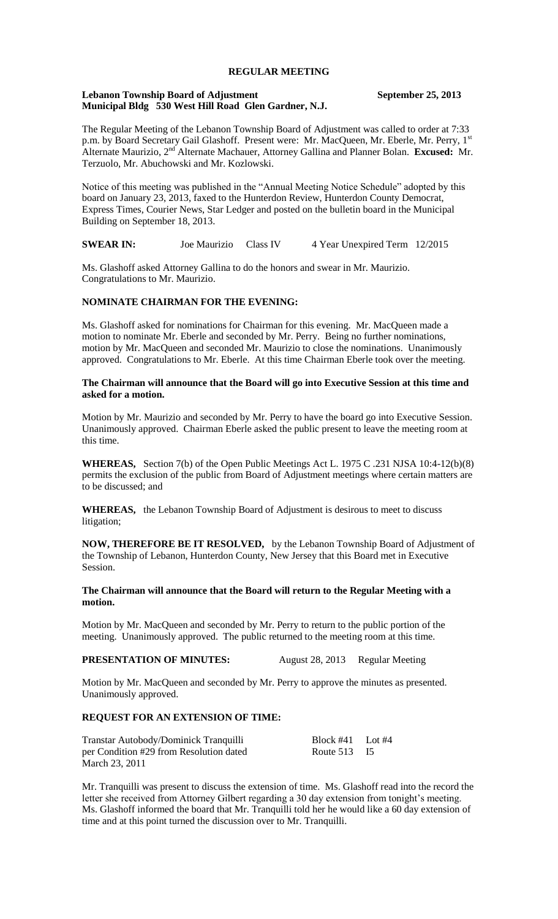# **REGULAR MEETING**

#### **Lebanon Township Board of Adjustment September 25, 2013 Municipal Bldg 530 West Hill Road Glen Gardner, N.J.**

The Regular Meeting of the Lebanon Township Board of Adjustment was called to order at 7:33 p.m. by Board Secretary Gail Glashoff. Present were: Mr. MacQueen, Mr. Eberle, Mr. Perry, 1st Alternate Maurizio, 2nd Alternate Machauer, Attorney Gallina and Planner Bolan. **Excused:** Mr. Terzuolo, Mr. Abuchowski and Mr. Kozlowski.

Notice of this meeting was published in the "Annual Meeting Notice Schedule" adopted by this board on January 23, 2013, faxed to the Hunterdon Review, Hunterdon County Democrat, Express Times, Courier News, Star Ledger and posted on the bulletin board in the Municipal Building on September 18, 2013.

**SWEAR IN:** Joe Maurizio Class IV 4 Year Unexpired Term 12/2015

Ms. Glashoff asked Attorney Gallina to do the honors and swear in Mr. Maurizio. Congratulations to Mr. Maurizio.

## **NOMINATE CHAIRMAN FOR THE EVENING:**

Ms. Glashoff asked for nominations for Chairman for this evening. Mr. MacQueen made a motion to nominate Mr. Eberle and seconded by Mr. Perry. Being no further nominations, motion by Mr. MacQueen and seconded Mr. Maurizio to close the nominations. Unanimously approved. Congratulations to Mr. Eberle. At this time Chairman Eberle took over the meeting.

## **The Chairman will announce that the Board will go into Executive Session at this time and asked for a motion.**

Motion by Mr. Maurizio and seconded by Mr. Perry to have the board go into Executive Session. Unanimously approved. Chairman Eberle asked the public present to leave the meeting room at this time.

**WHEREAS,** Section 7(b) of the Open Public Meetings Act L. 1975 C .231 NJSA 10:4-12(b)(8) permits the exclusion of the public from Board of Adjustment meetings where certain matters are to be discussed; and

**WHEREAS,** the Lebanon Township Board of Adjustment is desirous to meet to discuss litigation;

**NOW, THEREFORE BE IT RESOLVED,** by the Lebanon Township Board of Adjustment of the Township of Lebanon, Hunterdon County, New Jersey that this Board met in Executive Session.

**The Chairman will announce that the Board will return to the Regular Meeting with a motion.** 

Motion by Mr. MacQueen and seconded by Mr. Perry to return to the public portion of the meeting. Unanimously approved. The public returned to the meeting room at this time.

#### **PRESENTATION OF MINUTES:** August 28, 2013 Regular Meeting

Motion by Mr. MacQueen and seconded by Mr. Perry to approve the minutes as presented. Unanimously approved.

### **REQUEST FOR AN EXTENSION OF TIME:**

| Transtar Autobody/Dominick Tranquilli   | Block #41 Lot #4 |  |
|-----------------------------------------|------------------|--|
| per Condition #29 from Resolution dated | Route 513 I5     |  |
| March 23, 2011                          |                  |  |

Mr. Tranquilli was present to discuss the extension of time. Ms. Glashoff read into the record the letter she received from Attorney Gilbert regarding a 30 day extension from tonight's meeting. Ms. Glashoff informed the board that Mr. Tranquilli told her he would like a 60 day extension of time and at this point turned the discussion over to Mr. Tranquilli.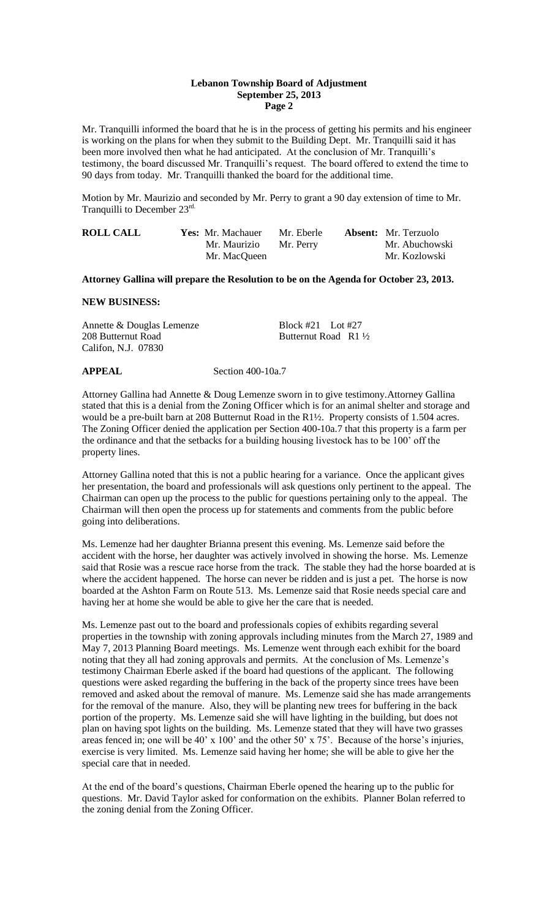## **Lebanon Township Board of Adjustment September 25, 2013 Page 2**

Mr. Tranquilli informed the board that he is in the process of getting his permits and his engineer is working on the plans for when they submit to the Building Dept. Mr. Tranquilli said it has been more involved then what he had anticipated. At the conclusion of Mr. Tranquilli's testimony, the board discussed Mr. Tranquilli's request. The board offered to extend the time to 90 days from today. Mr. Tranquilli thanked the board for the additional time.

Motion by Mr. Maurizio and seconded by Mr. Perry to grant a 90 day extension of time to Mr. Tranquilli to December 23rd.

| <b>ROLL CALL</b> | <b>Yes:</b> Mr. Machauer | Mr. Eberle | <b>Absent:</b> Mr. Terzuolo |
|------------------|--------------------------|------------|-----------------------------|
|                  | Mr. Maurizio             | Mr. Perry  | Mr. Abuchowski              |
|                  | Mr. MacQueen             |            | Mr. Kozlowski               |

#### **Attorney Gallina will prepare the Resolution to be on the Agenda for October 23, 2013.**

#### **NEW BUSINESS:**

Annette & Douglas Lemenze<br>Block #21 Lot #27 208 Butternut Road Butternut Road R1 <sup>1</sup>/<sub>2</sub> Califon, N.J. 07830

## **APPEAL** Section 400-10a.7

Attorney Gallina had Annette & Doug Lemenze sworn in to give testimony.Attorney Gallina stated that this is a denial from the Zoning Officer which is for an animal shelter and storage and would be a pre-built barn at 208 Butternut Road in the R1½. Property consists of 1.504 acres. The Zoning Officer denied the application per Section 400-10a.7 that this property is a farm per the ordinance and that the setbacks for a building housing livestock has to be 100' off the property lines.

Attorney Gallina noted that this is not a public hearing for a variance. Once the applicant gives her presentation, the board and professionals will ask questions only pertinent to the appeal. The Chairman can open up the process to the public for questions pertaining only to the appeal. The Chairman will then open the process up for statements and comments from the public before going into deliberations.

Ms. Lemenze had her daughter Brianna present this evening. Ms. Lemenze said before the accident with the horse, her daughter was actively involved in showing the horse. Ms. Lemenze said that Rosie was a rescue race horse from the track. The stable they had the horse boarded at is where the accident happened. The horse can never be ridden and is just a pet. The horse is now boarded at the Ashton Farm on Route 513. Ms. Lemenze said that Rosie needs special care and having her at home she would be able to give her the care that is needed.

Ms. Lemenze past out to the board and professionals copies of exhibits regarding several properties in the township with zoning approvals including minutes from the March 27, 1989 and May 7, 2013 Planning Board meetings. Ms. Lemenze went through each exhibit for the board noting that they all had zoning approvals and permits. At the conclusion of Ms. Lemenze's testimony Chairman Eberle asked if the board had questions of the applicant. The following questions were asked regarding the buffering in the back of the property since trees have been removed and asked about the removal of manure. Ms. Lemenze said she has made arrangements for the removal of the manure. Also, they will be planting new trees for buffering in the back portion of the property. Ms. Lemenze said she will have lighting in the building, but does not plan on having spot lights on the building. Ms. Lemenze stated that they will have two grasses areas fenced in; one will be 40' x 100' and the other 50' x 75'. Because of the horse's injuries, exercise is very limited. Ms. Lemenze said having her home; she will be able to give her the special care that in needed.

At the end of the board's questions, Chairman Eberle opened the hearing up to the public for questions. Mr. David Taylor asked for conformation on the exhibits. Planner Bolan referred to the zoning denial from the Zoning Officer.